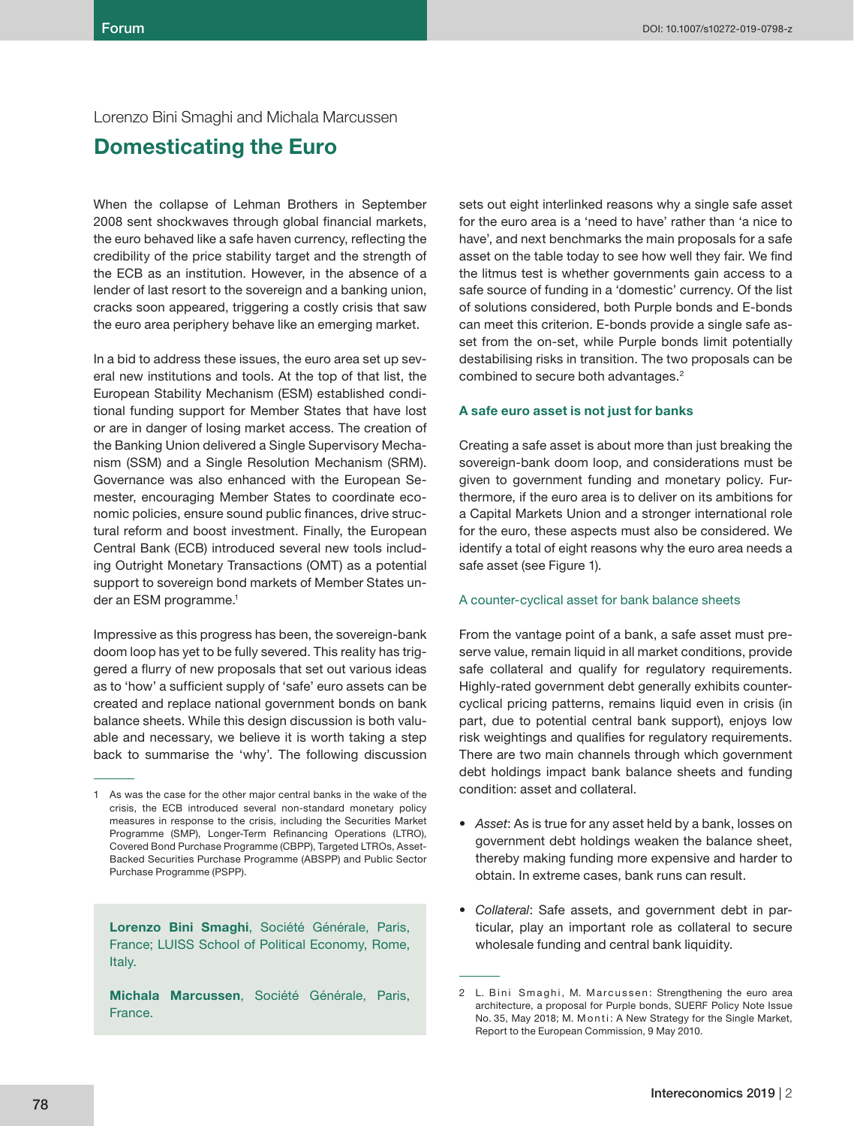## Lorenzo Bini Smaghi and Michala Marcussen

## **Domesticating the Euro**

When the collapse of Lehman Brothers in September 2008 sent shockwaves through global financial markets, the euro behaved like a safe haven currency, reflecting the credibility of the price stability target and the strength of the ECB as an institution. However, in the absence of a lender of last resort to the sovereign and a banking union, cracks soon appeared, triggering a costly crisis that saw the euro area periphery behave like an emerging market.

In a bid to address these issues, the euro area set up several new institutions and tools. At the top of that list, the European Stability Mechanism (ESM) established conditional funding support for Member States that have lost or are in danger of losing market access. The creation of the Banking Union delivered a Single Supervisory Mechanism (SSM) and a Single Resolution Mechanism (SRM). Governance was also enhanced with the European Semester, encouraging Member States to coordinate economic policies, ensure sound public finances, drive structural reform and boost investment. Finally, the European Central Bank (ECB) introduced several new tools including Outright Monetary Transactions (OMT) as a potential support to sovereign bond markets of Member States under an ESM programme.<sup>1</sup>

Impressive as this progress has been, the sovereign-bank doom loop has yet to be fully severed. This reality has triggered a flurry of new proposals that set out various ideas as to 'how' a sufficient supply of 'safe' euro assets can be created and replace national government bonds on bank balance sheets. While this design discussion is both valuable and necessary, we believe it is worth taking a step back to summarise the 'why'. The following discussion

**Lorenzo Bini Smaghi**, Société Générale, Paris, France; LUISS School of Political Economy, Rome, Italy.

**Michala Marcussen**, Société Générale, Paris, France.

sets out eight interlinked reasons why a single safe asset for the euro area is a 'need to have' rather than 'a nice to have', and next benchmarks the main proposals for a safe asset on the table today to see how well they fair. We find the litmus test is whether governments gain access to a safe source of funding in a 'domestic' currency. Of the list of solutions considered, both Purple bonds and E-bonds can meet this criterion. E-bonds provide a single safe asset from the on-set, while Purple bonds limit potentially destabilising risks in transition. The two proposals can be combined to secure both advantages.<sup>2</sup>

#### **A safe euro asset is not just for banks**

Creating a safe asset is about more than just breaking the sovereign-bank doom loop, and considerations must be given to government funding and monetary policy. Furthermore, if the euro area is to deliver on its ambitions for a Capital Markets Union and a stronger international role for the euro, these aspects must also be considered. We identify a total of eight reasons why the euro area needs a safe asset (see Figure 1).

#### A counter-cyclical asset for bank balance sheets

From the vantage point of a bank, a safe asset must preserve value, remain liquid in all market conditions, provide safe collateral and qualify for regulatory requirements. Highly-rated government debt generally exhibits countercyclical pricing patterns, remains liquid even in crisis (in part, due to potential central bank support), enjoys low risk weightings and qualifies for regulatory requirements. There are two main channels through which government debt holdings impact bank balance sheets and funding condition: asset and collateral.

- *Asset*: As is true for any asset held by a bank, losses on government debt holdings weaken the balance sheet, thereby making funding more expensive and harder to obtain. In extreme cases, bank runs can result.
- *Collateral*: Safe assets, and government debt in particular, play an important role as collateral to secure wholesale funding and central bank liquidity.

<sup>1</sup> As was the case for the other major central banks in the wake of the crisis, the ECB introduced several non-standard monetary policy measures in response to the crisis, including the Securities Market Programme (SMP), Longer-Term Refinancing Operations (LTRO), Covered Bond Purchase Programme (CBPP), Targeted LTROs, Asset-Backed Securities Purchase Programme (ABSPP) and Public Sector Purchase Programme (PSPP).

<sup>2</sup> L. Bini Smaghi, M. Marcussen: Strengthening the euro area architecture, a proposal for Purple bonds, SUERF Policy Note Issue No. 35, May 2018; M. Monti: A New Strategy for the Single Market, Report to the European Commission, 9 May 2010.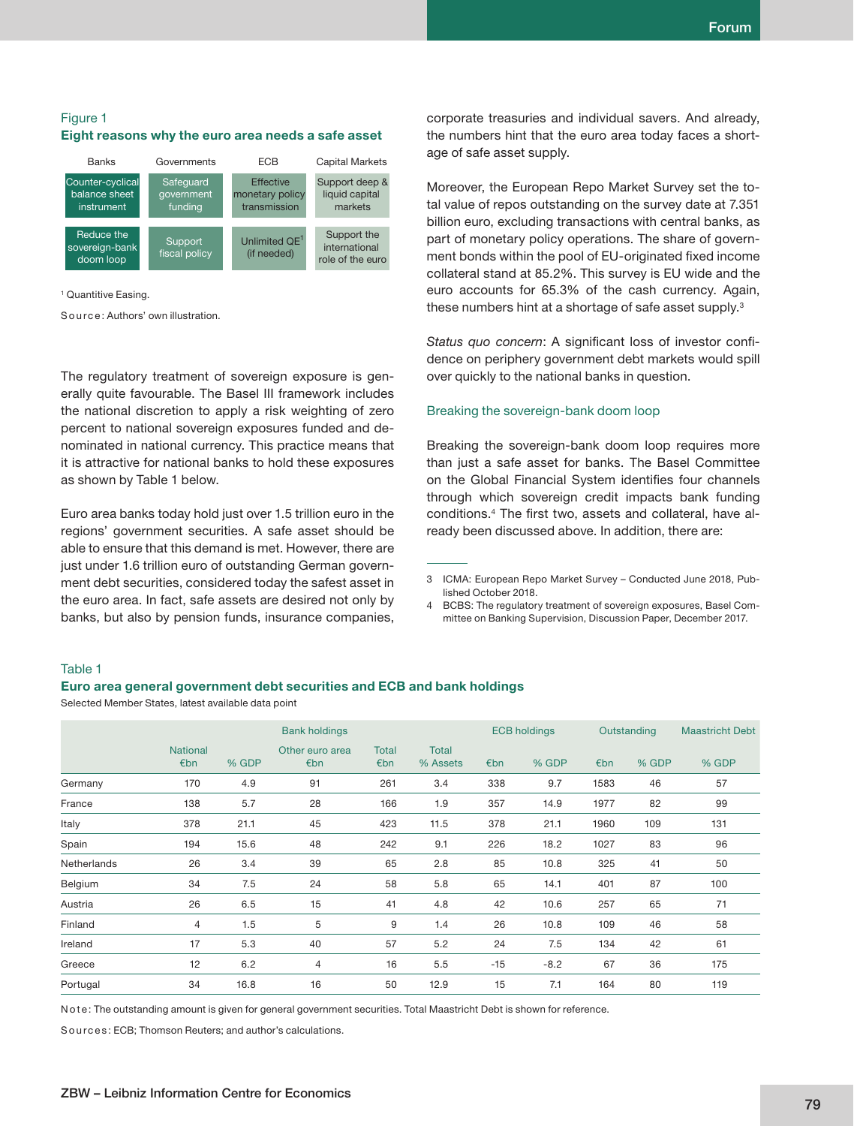## Figure 1 **Eight reasons why the euro area needs a safe asset**

| <b>Banks</b>                                    | Governments                        | ECB                                                 | <b>Capital Markets</b>                           |
|-------------------------------------------------|------------------------------------|-----------------------------------------------------|--------------------------------------------------|
| Counter-cyclical<br>balance sheet<br>instrument | Safequard<br>qovernment<br>funding | <b>Effective</b><br>monetary policy<br>transmission | Support deep &<br>liquid capital<br>markets      |
| Reduce the<br>sovereign-bank<br>doom loop       | Support<br>fiscal policy           | Unlimited $QE^1$<br>(if needed)                     | Support the<br>international<br>role of the euro |

1 Quantitive Easing.

Source: Authors' own illustration.

The regulatory treatment of sovereign exposure is generally quite favourable. The Basel III framework includes the national discretion to apply a risk weighting of zero percent to national sovereign exposures funded and denominated in national currency. This practice means that it is attractive for national banks to hold these exposures as shown by Table 1 below.

Euro area banks today hold just over 1.5 trillion euro in the regions' government securities. A safe asset should be able to ensure that this demand is met. However, there are just under 1.6 trillion euro of outstanding German government debt securities, considered today the safest asset in the euro area. In fact, safe assets are desired not only by banks, but also by pension funds, insurance companies, corporate treasuries and individual savers. And already, the numbers hint that the euro area today faces a shortage of safe asset supply.

Moreover, the European Repo Market Survey set the total value of repos outstanding on the survey date at 7.351 billion euro, excluding transactions with central banks, as part of monetary policy operations. The share of government bonds within the pool of EU-originated fixed income collateral stand at 85.2%. This survey is EU wide and the euro accounts for 65.3% of the cash currency. Again, these numbers hint at a shortage of safe asset supply.<sup>3</sup>

*Status quo concern: A significant loss of investor confi*dence on periphery government debt markets would spill over quickly to the national banks in question.

#### Breaking the sovereign-bank doom loop

Breaking the sovereign-bank doom loop requires more than just a safe asset for banks. The Basel Committee on the Global Financial System identifies four channels through which sovereign credit impacts bank funding conditions.<sup>4</sup> The first two, assets and collateral, have already been discussed above. In addition, there are:

4 BCBS: The regulatory treatment of sovereign exposures, Basel Committee on Banking Supervision, Discussion Paper, December 2017.

#### Table 1

#### **Euro area general government debt securities and ECB and bank holdings**

Selected Member States, latest available data point

|             |                        | <b>Bank holdings</b> |                        |                     |                          |       | <b>ECB holdings</b> |      | Outstanding | <b>Maastricht Debt</b> |
|-------------|------------------------|----------------------|------------------------|---------------------|--------------------------|-------|---------------------|------|-------------|------------------------|
|             | <b>National</b><br>€bn | % GDP                | Other euro area<br>€bn | <b>Total</b><br>€bn | <b>Total</b><br>% Assets | €bn   | % GDP               | €bn  | % GDP       | % GDP                  |
| Germany     | 170                    | 4.9                  | 91                     | 261                 | 3.4                      | 338   | 9.7                 | 1583 | 46          | 57                     |
| France      | 138                    | 5.7                  | 28                     | 166                 | 1.9                      | 357   | 14.9                | 1977 | 82          | 99                     |
| Italy       | 378                    | 21.1                 | 45                     | 423                 | 11.5                     | 378   | 21.1                | 1960 | 109         | 131                    |
| Spain       | 194                    | 15.6                 | 48                     | 242                 | 9.1                      | 226   | 18.2                | 1027 | 83          | 96                     |
| Netherlands | 26                     | 3.4                  | 39                     | 65                  | 2.8                      | 85    | 10.8                | 325  | 41          | 50                     |
| Belgium     | 34                     | 7.5                  | 24                     | 58                  | 5.8                      | 65    | 14.1                | 401  | 87          | 100                    |
| Austria     | 26                     | 6.5                  | 15                     | 41                  | 4.8                      | 42    | 10.6                | 257  | 65          | 71                     |
| Finland     | 4                      | 1.5                  | 5                      | 9                   | 1.4                      | 26    | 10.8                | 109  | 46          | 58                     |
| Ireland     | 17                     | 5.3                  | 40                     | 57                  | 5.2                      | 24    | 7.5                 | 134  | 42          | 61                     |
| Greece      | 12                     | 6.2                  | 4                      | 16                  | 5.5                      | $-15$ | $-8.2$              | 67   | 36          | 175                    |
| Portugal    | 34                     | 16.8                 | 16                     | 50                  | 12.9                     | 15    | 7.1                 | 164  | 80          | 119                    |

Note: The outstanding amount is given for general government securities. Total Maastricht Debt is shown for reference.

Sources: ECB; Thomson Reuters; and author's calculations.

<sup>3</sup> ICMA: European Repo Market Survey – Conducted June 2018, Published October 2018.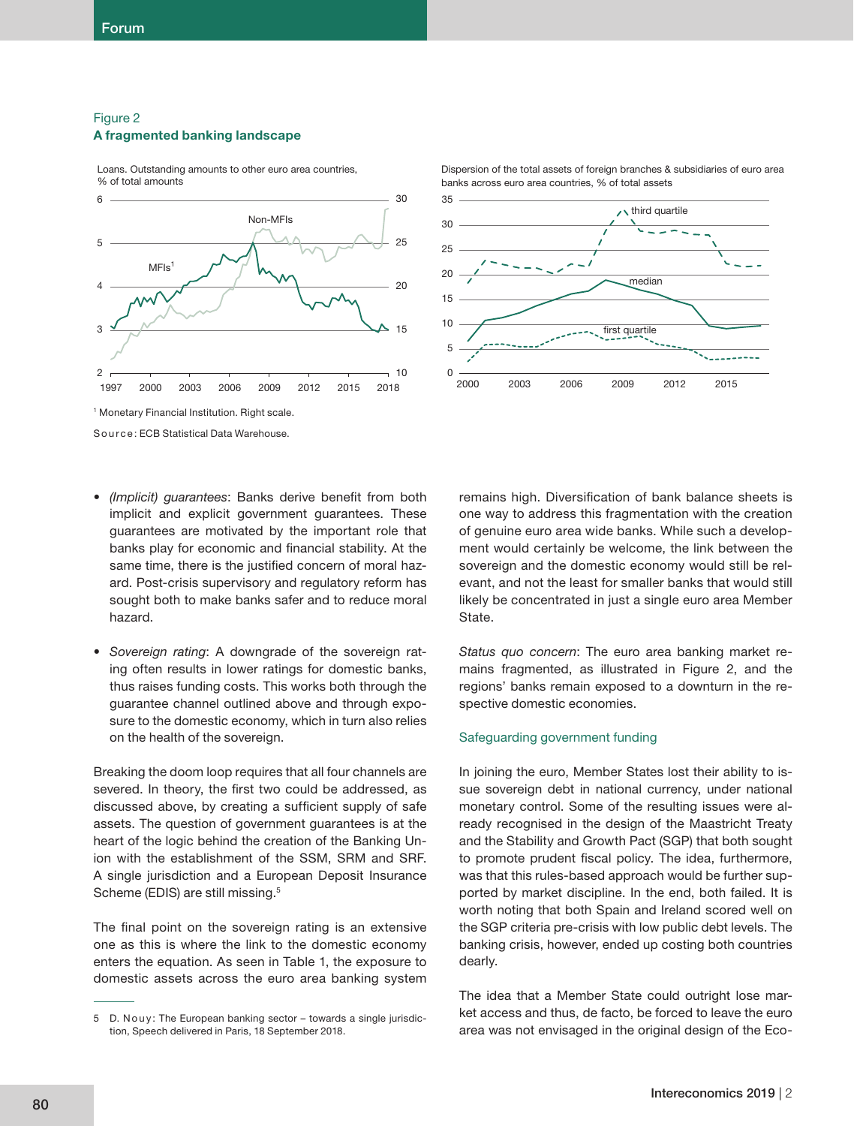## Figure 2 **A fragmented banking landscape**



Loans. Outstanding amounts to other euro area countries, % of total amounts

banks across euro area countries, % of total assets Dispersion of the total assets of foreign branches & subsidiaries of euro area



• *(Implicit) quarantees:* Banks derive benefit from both implicit and explicit government guarantees. These guarantees are motivated by the important role that banks play for economic and financial stability. At the same time, there is the justified concern of moral hazard. Post-crisis supervisory and regulatory reform has sought both to make banks safer and to reduce moral hazard.

• *Sovereign rating*: A downgrade of the sovereign rating often results in lower ratings for domestic banks, thus raises funding costs. This works both through the guarantee channel outlined above and through exposure to the domestic economy, which in turn also relies on the health of the sovereign.

Breaking the doom loop requires that all four channels are severed. In theory, the first two could be addressed, as discussed above, by creating a sufficient supply of safe assets. The question of government guarantees is at the heart of the logic behind the creation of the Banking Union with the establishment of the SSM, SRM and SRF. A single jurisdiction and a European Deposit Insurance Scheme (EDIS) are still missing.<sup>5</sup>

The final point on the sovereign rating is an extensive one as this is where the link to the domestic economy enters the equation. As seen in Table 1, the exposure to domestic assets across the euro area banking system

remains high. Diversification of bank balance sheets is one way to address this fragmentation with the creation of genuine euro area wide banks. While such a development would certainly be welcome, the link between the sovereign and the domestic economy would still be relevant, and not the least for smaller banks that would still likely be concentrated in just a single euro area Member State.

*Status quo concern*: The euro area banking market remains fragmented, as illustrated in Figure 2, and the regions' banks remain exposed to a downturn in the respective domestic economies.

#### Safeguarding government funding

In joining the euro, Member States lost their ability to issue sovereign debt in national currency, under national monetary control. Some of the resulting issues were already recognised in the design of the Maastricht Treaty and the Stability and Growth Pact (SGP) that both sought to promote prudent fiscal policy. The idea, furthermore, was that this rules-based approach would be further supported by market discipline. In the end, both failed. It is worth noting that both Spain and Ireland scored well on the SGP criteria pre-crisis with low public debt levels. The banking crisis, however, ended up costing both countries dearly.

The idea that a Member State could outright lose market access and thus, de facto, be forced to leave the euro area was not envisaged in the original design of the Eco-

<sup>5</sup> D. Nouy: The European banking sector - towards a single jurisdiction, Speech delivered in Paris, 18 September 2018.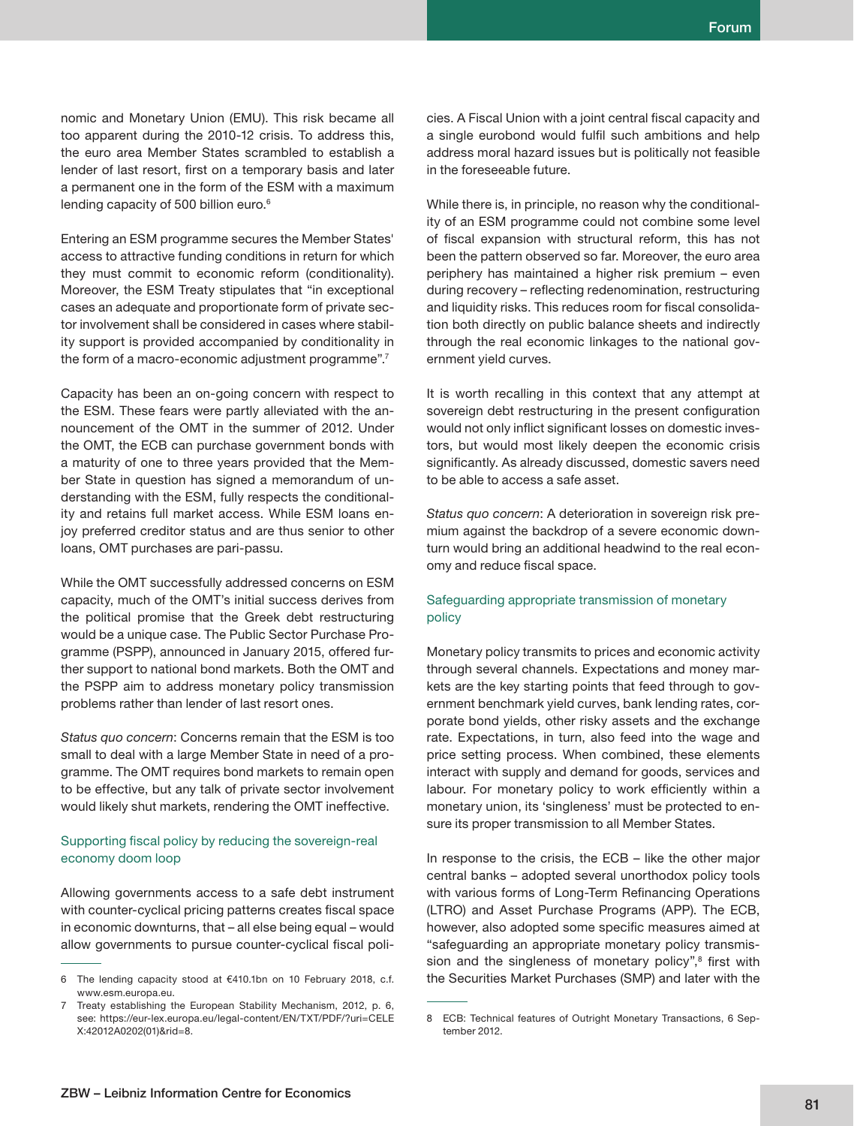nomic and Monetary Union (EMU). This risk became all too apparent during the 2010-12 crisis. To address this, the euro area Member States scrambled to establish a lender of last resort, first on a temporary basis and later a permanent one in the form of the ESM with a maximum lending capacity of 500 billion euro.<sup>6</sup>

Entering an ESM programme secures the Member States' access to attractive funding conditions in return for which they must commit to economic reform (conditionality). Moreover, the ESM Treaty stipulates that "in exceptional cases an adequate and proportionate form of private sector involvement shall be considered in cases where stability support is provided accompanied by conditionality in the form of a macro-economic adjustment programme".7

Capacity has been an on-going concern with respect to the ESM. These fears were partly alleviated with the announcement of the OMT in the summer of 2012. Under the OMT, the ECB can purchase government bonds with a maturity of one to three years provided that the Member State in question has signed a memorandum of understanding with the ESM, fully respects the conditionality and retains full market access. While ESM loans enjoy preferred creditor status and are thus senior to other loans, OMT purchases are pari-passu.

While the OMT successfully addressed concerns on ESM capacity, much of the OMT's initial success derives from the political promise that the Greek debt restructuring would be a unique case. The Public Sector Purchase Programme (PSPP), announced in January 2015, offered further support to national bond markets. Both the OMT and the PSPP aim to address monetary policy transmission problems rather than lender of last resort ones.

*Status quo concern*: Concerns remain that the ESM is too small to deal with a large Member State in need of a programme. The OMT requires bond markets to remain open to be effective, but any talk of private sector involvement would likely shut markets, rendering the OMT ineffective.

## Supporting fiscal policy by reducing the sovereign-real economy doom loop

Allowing governments access to a safe debt instrument with counter-cyclical pricing patterns creates fiscal space in economic downturns, that – all else being equal – would allow governments to pursue counter-cyclical fiscal poli-

cies. A Fiscal Union with a joint central fiscal capacity and a single eurobond would fulfil such ambitions and help address moral hazard issues but is politically not feasible in the foreseeable future.

While there is, in principle, no reason why the conditionality of an ESM programme could not combine some level of fiscal expansion with structural reform, this has not been the pattern observed so far. Moreover, the euro area periphery has maintained a higher risk premium – even during recovery - reflecting redenomination, restructuring and liquidity risks. This reduces room for fiscal consolidation both directly on public balance sheets and indirectly through the real economic linkages to the national government yield curves.

It is worth recalling in this context that any attempt at sovereign debt restructuring in the present configuration would not only inflict significant losses on domestic investors, but would most likely deepen the economic crisis significantly. As already discussed, domestic savers need to be able to access a safe asset.

*Status quo concern*: A deterioration in sovereign risk premium against the backdrop of a severe economic downturn would bring an additional headwind to the real economy and reduce fiscal space.

## Safeguarding appropriate transmission of monetary policy

Monetary policy transmits to prices and economic activity through several channels. Expectations and money markets are the key starting points that feed through to government benchmark yield curves, bank lending rates, corporate bond yields, other risky assets and the exchange rate. Expectations, in turn, also feed into the wage and price setting process. When combined, these elements interact with supply and demand for goods, services and labour. For monetary policy to work efficiently within a monetary union, its 'singleness' must be protected to ensure its proper transmission to all Member States.

In response to the crisis, the ECB – like the other major central banks – adopted several unorthodox policy tools with various forms of Long-Term Refinancing Operations (LTRO) and Asset Purchase Programs (APP). The ECB, however, also adopted some specific measures aimed at "safeguarding an appropriate monetary policy transmission and the singleness of monetary policy",<sup>8</sup> first with the Securities Market Purchases (SMP) and later with the

<sup>6</sup> The lending capacity stood at €410.1bn on 10 February 2018, c.f. www.esm.europa.eu.

<sup>7</sup> Treaty establishing the European Stability Mechanism, 2012, p. 6, see: https://eur-lex.europa.eu/legal-content/EN/TXT/PDF/?uri=CELE X:42012A0202(01)&rid=8.

<sup>8</sup> ECB: Technical features of Outright Monetary Transactions, 6 September 2012.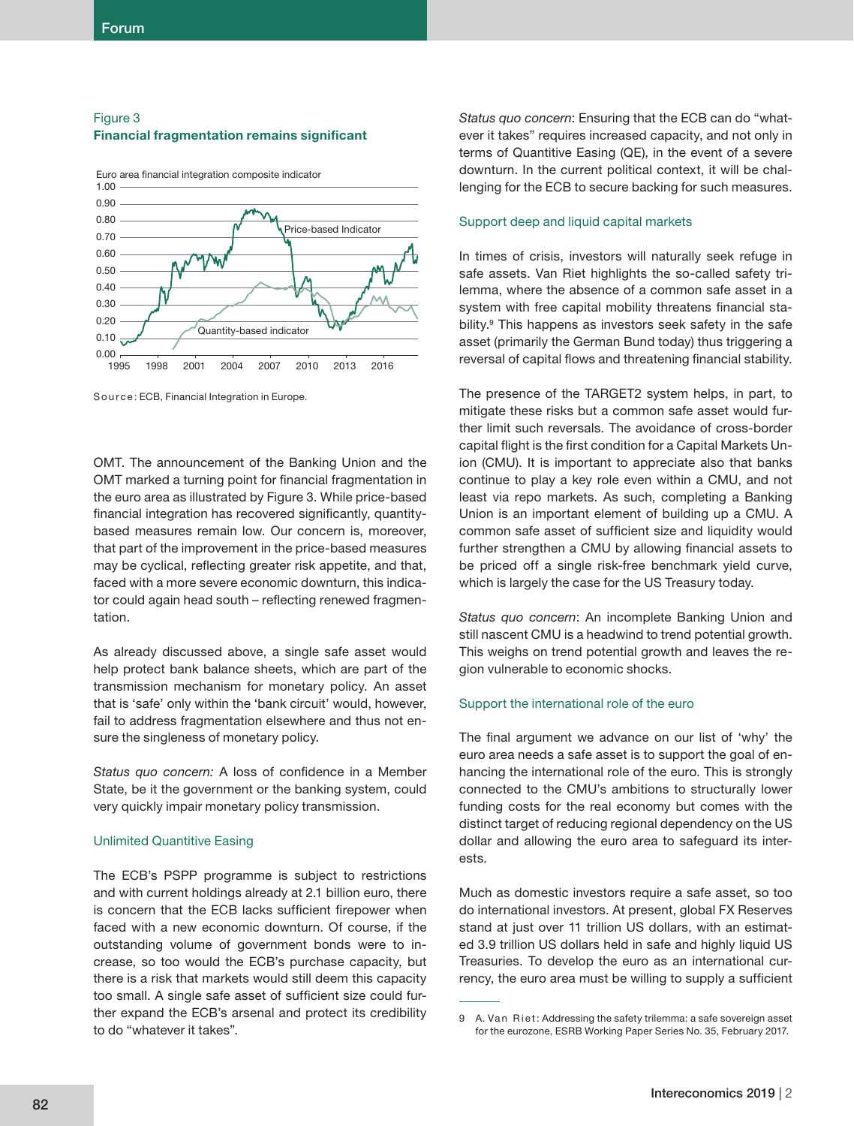## Figure 3 **Financial fragmentation remains significant**



Euro area financial integration composite indicator

Source: ECB, Financial Integration in Europe.

OMT. The announcement of the Banking Union and the OMT marked a turning point for financial fragmentation in the euro area as illustrated by Figure 3. While price-based financial integration has recovered significantly, quantitybased measures remain low. Our concern is, moreover, that part of the improvement in the price-based measures may be cyclical, reflecting greater risk appetite, and that, faced with a more severe economic downturn, this indicator could again head south – reflecting renewed fragmentation.

As already discussed above, a single safe asset would help protect bank balance sheets, which are part of the transmission mechanism for monetary policy. An asset that is 'safe' only within the 'bank circuit' would, however, fail to address fragmentation elsewhere and thus not ensure the singleness of monetary policy.

Status quo concern: A loss of confidence in a Member State, be it the government or the banking system, could very quickly impair monetary policy transmission.

#### Unlimited Quantitive Easing

The ECB's PSPP programme is subject to restrictions and with current holdings already at 2.1 billion euro, there is concern that the ECB lacks sufficient firepower when faced with a new economic downturn. Of course, if the outstanding volume of government bonds were to increase, so too would the ECB's purchase capacity, but there is a risk that markets would still deem this capacity too small. A single safe asset of sufficient size could further expand the ECB's arsenal and protect its credibility to do "whatever it takes".

*Status quo concern*: Ensuring that the ECB can do "whatever it takes" requires increased capacity, and not only in terms of Quantitive Easing (QE), in the event of a severe downturn. In the current political context, it will be challenging for the ECB to secure backing for such measures.

#### Support deep and liquid capital markets

In times of crisis, investors will naturally seek refuge in safe assets. Van Riet highlights the so-called safety trilemma, where the absence of a common safe asset in a system with free capital mobility threatens financial stability.9 This happens as investors seek safety in the safe asset (primarily the German Bund today) thus triggering a reversal of capital flows and threatening financial stability.

The presence of the TARGET2 system helps, in part, to mitigate these risks but a common safe asset would further limit such reversals. The avoidance of cross-border capital flight is the first condition for a Capital Markets Union (CMU). It is important to appreciate also that banks continue to play a key role even within a CMU, and not least via repo markets. As such, completing a Banking Union is an important element of building up a CMU. A common safe asset of sufficient size and liquidity would further strengthen a CMU by allowing financial assets to be priced off a single risk-free benchmark yield curve, which is largely the case for the US Treasury today.

*Status quo concern*: An incomplete Banking Union and still nascent CMU is a headwind to trend potential growth. This weighs on trend potential growth and leaves the region vulnerable to economic shocks.

#### Support the international role of the euro

The final argument we advance on our list of 'why' the euro area needs a safe asset is to support the goal of enhancing the international role of the euro. This is strongly connected to the CMU's ambitions to structurally lower funding costs for the real economy but comes with the distinct target of reducing regional dependency on the US dollar and allowing the euro area to safeguard its interests.

Much as domestic investors require a safe asset, so too do international investors. At present, global FX Reserves stand at just over 11 trillion US dollars, with an estimated 3.9 trillion US dollars held in safe and highly liquid US Treasuries. To develop the euro as an international currency, the euro area must be willing to supply a sufficient

<sup>9</sup> A. Van Riet: Addressing the safety trilemma: a safe sovereign asset for the eurozone, ESRB Working Paper Series No. 35, February 2017.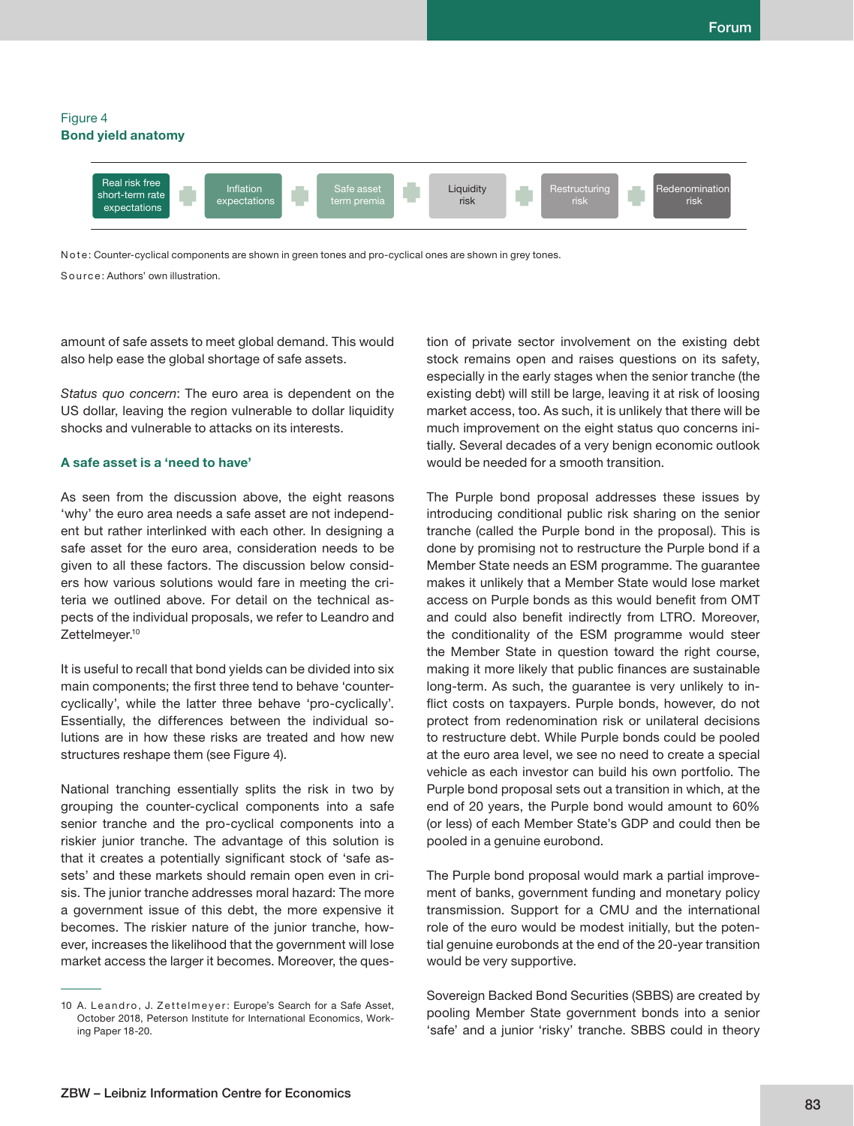Figure 4 **Bond yield anatomy**



Note: Counter-cyclical components are shown in green tones and pro-cyclical ones are shown in grey tones.

Source: Authors' own illustration.

amount of safe assets to meet global demand. This would also help ease the global shortage of safe assets.

*Status quo concern*: The euro area is dependent on the US dollar, leaving the region vulnerable to dollar liquidity shocks and vulnerable to attacks on its interests.

#### **A safe asset is a 'need to have'**

As seen from the discussion above, the eight reasons 'why' the euro area needs a safe asset are not independent but rather interlinked with each other. In designing a safe asset for the euro area, consideration needs to be given to all these factors. The discussion below considers how various solutions would fare in meeting the criteria we outlined above. For detail on the technical aspects of the individual proposals, we refer to Leandro and Zettelmeyer.<sup>10</sup>

It is useful to recall that bond yields can be divided into six main components; the first three tend to behave 'countercyclically', while the latter three behave 'pro-cyclically'. Essentially, the differences between the individual solutions are in how these risks are treated and how new structures reshape them (see Figure 4).

National tranching essentially splits the risk in two by grouping the counter-cyclical components into a safe senior tranche and the pro-cyclical components into a riskier junior tranche. The advantage of this solution is that it creates a potentially significant stock of 'safe assets' and these markets should remain open even in crisis. The junior tranche addresses moral hazard: The more a government issue of this debt, the more expensive it becomes. The riskier nature of the junior tranche, however, increases the likelihood that the government will lose market access the larger it becomes. Moreover, the question of private sector involvement on the existing debt stock remains open and raises questions on its safety, especially in the early stages when the senior tranche (the existing debt) will still be large, leaving it at risk of loosing market access, too. As such, it is unlikely that there will be much improvement on the eight status quo concerns initially. Several decades of a very benign economic outlook would be needed for a smooth transition.

The Purple bond proposal addresses these issues by introducing conditional public risk sharing on the senior tranche (called the Purple bond in the proposal). This is done by promising not to restructure the Purple bond if a Member State needs an ESM programme. The guarantee makes it unlikely that a Member State would lose market access on Purple bonds as this would benefit from OMT and could also benefit indirectly from LTRO. Moreover, the conditionality of the ESM programme would steer the Member State in question toward the right course, making it more likely that public finances are sustainable long-term. As such, the guarantee is very unlikely to inflict costs on taxpayers. Purple bonds, however, do not protect from redenomination risk or unilateral decisions to restructure debt. While Purple bonds could be pooled at the euro area level, we see no need to create a special vehicle as each investor can build his own portfolio. The Purple bond proposal sets out a transition in which, at the end of 20 years, the Purple bond would amount to 60% (or less) of each Member State's GDP and could then be pooled in a genuine eurobond.

The Purple bond proposal would mark a partial improvement of banks, government funding and monetary policy transmission. Support for a CMU and the international role of the euro would be modest initially, but the potential genuine eurobonds at the end of the 20-year transition would be very supportive.

Sovereign Backed Bond Securities (SBBS) are created by pooling Member State government bonds into a senior 'safe' and a junior 'risky' tranche. SBBS could in theory

<sup>10</sup> A. Leandro, J. Zettelmeyer: Europe's Search for a Safe Asset, October 2018, Peterson Institute for International Economics, Working Paper 18-20.